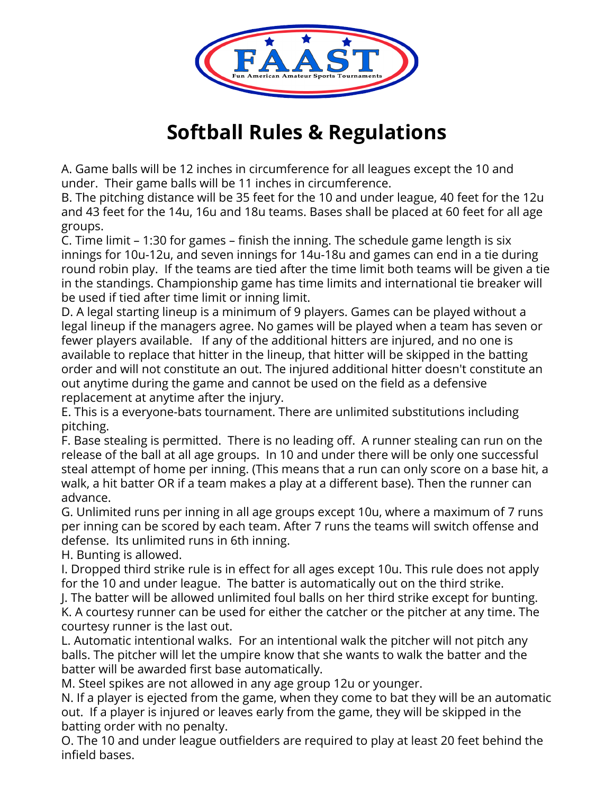

## **Softball Rules & Regulations**

A. Game balls will be 12 inches in circumference for all leagues except the 10 and under. Their game balls will be 11 inches in circumference.

B. The pitching distance will be 35 feet for the 10 and under league, 40 feet for the 12u and 43 feet for the 14u, 16u and 18u teams. Bases shall be placed at 60 feet for all age groups.

C. Time limit – 1:30 for games – finish the inning. The schedule game length is six innings for 10u-12u, and seven innings for 14u-18u and games can end in a tie during round robin play. If the teams are tied after the time limit both teams will be given a tie in the standings. Championship game has time limits and international tie breaker will be used if tied after time limit or inning limit.

D. A legal starting lineup is a minimum of 9 players. Games can be played without a legal lineup if the managers agree. No games will be played when a team has seven or fewer players available. If any of the additional hitters are injured, and no one is available to replace that hitter in the lineup, that hitter will be skipped in the batting order and will not constitute an out. The injured additional hitter doesn't constitute an out anytime during the game and cannot be used on the field as a defensive replacement at anytime after the injury.

E. This is a everyone-bats tournament. There are unlimited substitutions including pitching.

F. Base stealing is permitted. There is no leading off. A runner stealing can run on the release of the ball at all age groups. In 10 and under there will be only one successful steal attempt of home per inning. (This means that a run can only score on a base hit, a walk, a hit batter OR if a team makes a play at a different base). Then the runner can advance.

G. Unlimited runs per inning in all age groups except 10u, where a maximum of 7 runs per inning can be scored by each team. After 7 runs the teams will switch offense and defense. Its unlimited runs in 6th inning.

H. Bunting is allowed.

I. Dropped third strike rule is in effect for all ages except 10u. This rule does not apply for the 10 and under league. The batter is automatically out on the third strike.

J. The batter will be allowed unlimited foul balls on her third strike except for bunting. K. A courtesy runner can be used for either the catcher or the pitcher at any time. The courtesy runner is the last out.

L. Automatic intentional walks. For an intentional walk the pitcher will not pitch any balls. The pitcher will let the umpire know that she wants to walk the batter and the batter will be awarded first base automatically.

M. Steel spikes are not allowed in any age group 12u or younger.

N. If a player is ejected from the game, when they come to bat they will be an automatic out. If a player is injured or leaves early from the game, they will be skipped in the batting order with no penalty.

O. The 10 and under league outfielders are required to play at least 20 feet behind the infield bases.